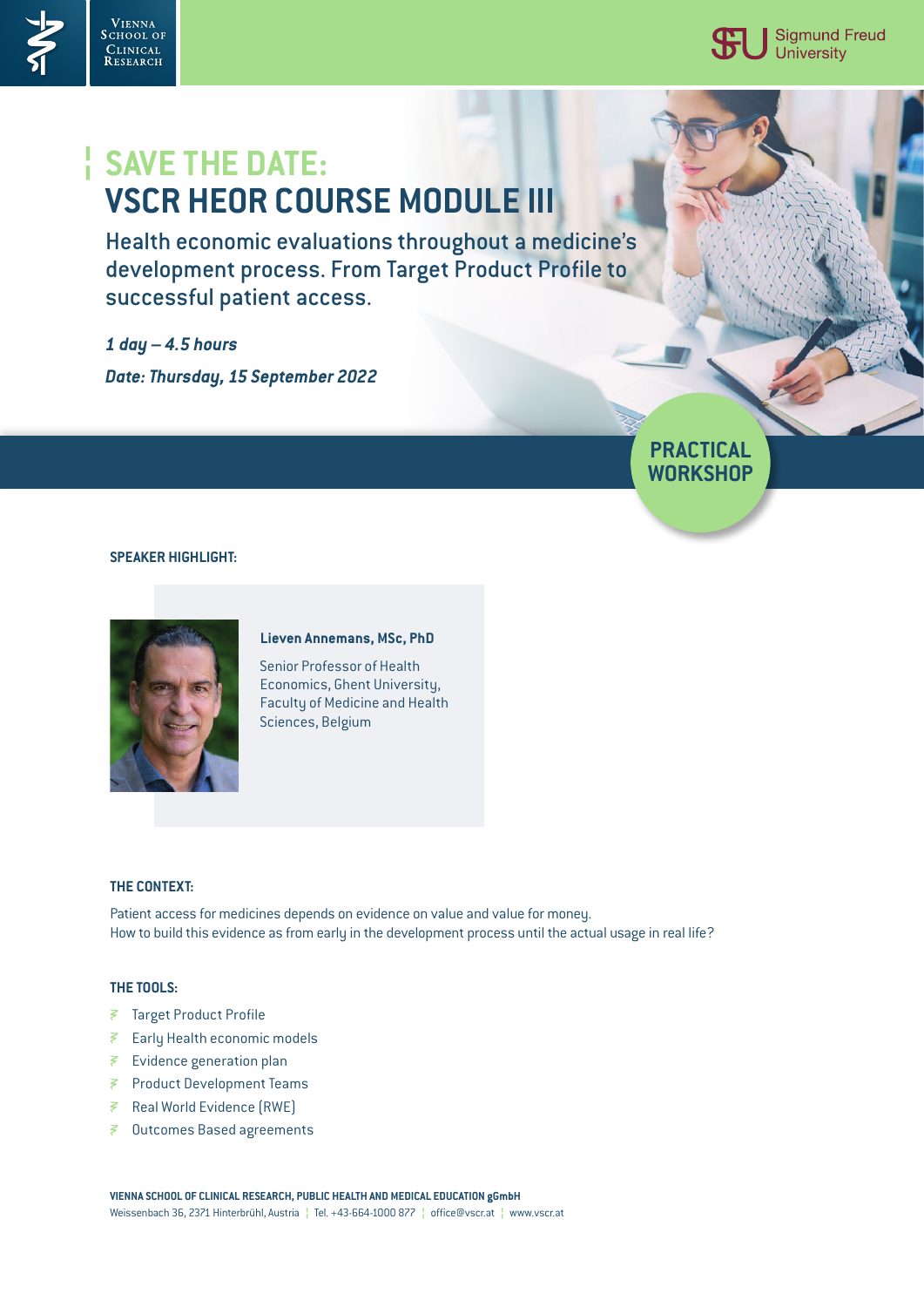

**PRACTICAL WORKSHOP**

# **SAVE THE DATE: ¦ VSCR HEOR COURSE MODULE III**

Health economic evaluations throughout a medicine's development process. From Target Product Profile to successful patient access.

*1 day – 4.5 hours Date: Thursday, 15 September 2022*

## **SPEAKER HIGHLIGHT:**

VIENNA<br>School of

CLINICAL<br>Research



#### **Lieven Annemans, MSc, PhD**

Senior Professor of Health Economics, Ghent University, Faculty of Medicine and Health Sciences, Belgium

## **THE CONTEXT:**

Patient access for medicines depends on evidence on value and value for money. How to build this evidence as from early in the development process until the actual usage in real life?

### **THE TOOLS:**

- Target Product Profile
- Early Health economic models
- Evidence generation plan
- Product Development Teams
- ₹ Real World Evidence (RWE)
- Outcomes Based agreements

**VIENNA SCHOOL OF CLINICAL RESEARCH, PUBLIC HEALTH AND MEDICAL EDUCATION gGmbH** Weissenbach 36, 2371 Hinterbrühl, Austria **¦** Tel. +43-664-1000 877 **¦** office@vscr.at **¦** www.vscr.at